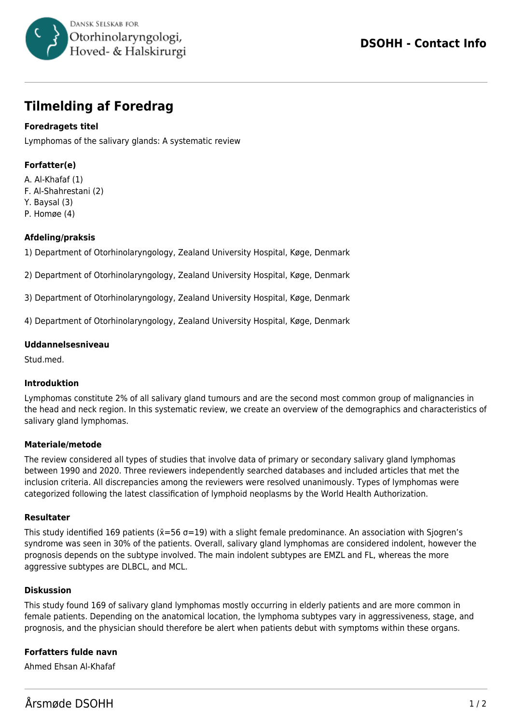

# **Tilmelding af Foredrag**

## **Foredragets titel**

Lymphomas of the salivary glands: A systematic review

# **Forfatter(e)**

A. Al-Khafaf (1) F. Al-Shahrestani (2)

Y. Baysal (3)

P. Homøe (4)

## **Afdeling/praksis**

1) Department of Otorhinolaryngology, Zealand University Hospital, Køge, Denmark

2) Department of Otorhinolaryngology, Zealand University Hospital, Køge, Denmark

3) Department of Otorhinolaryngology, Zealand University Hospital, Køge, Denmark

4) Department of Otorhinolaryngology, Zealand University Hospital, Køge, Denmark

#### **Uddannelsesniveau**

Stud.med.

## **Introduktion**

Lymphomas constitute 2% of all salivary gland tumours and are the second most common group of malignancies in the head and neck region. In this systematic review, we create an overview of the demographics and characteristics of salivary gland lymphomas.

## **Materiale/metode**

The review considered all types of studies that involve data of primary or secondary salivary gland lymphomas between 1990 and 2020. Three reviewers independently searched databases and included articles that met the inclusion criteria. All discrepancies among the reviewers were resolved unanimously. Types of lymphomas were categorized following the latest classification of lymphoid neoplasms by the World Health Authorization.

#### **Resultater**

This study identified 169 patients ( $\bar{x}$ =56  $\sigma$ =19) with a slight female predominance. An association with Siogren's syndrome was seen in 30% of the patients. Overall, salivary gland lymphomas are considered indolent, however the prognosis depends on the subtype involved. The main indolent subtypes are EMZL and FL, whereas the more aggressive subtypes are DLBCL, and MCL.

#### **Diskussion**

This study found 169 of salivary gland lymphomas mostly occurring in elderly patients and are more common in female patients. Depending on the anatomical location, the lymphoma subtypes vary in aggressiveness, stage, and prognosis, and the physician should therefore be alert when patients debut with symptoms within these organs.

## **Forfatters fulde navn**

Ahmed Ehsan Al-Khafaf